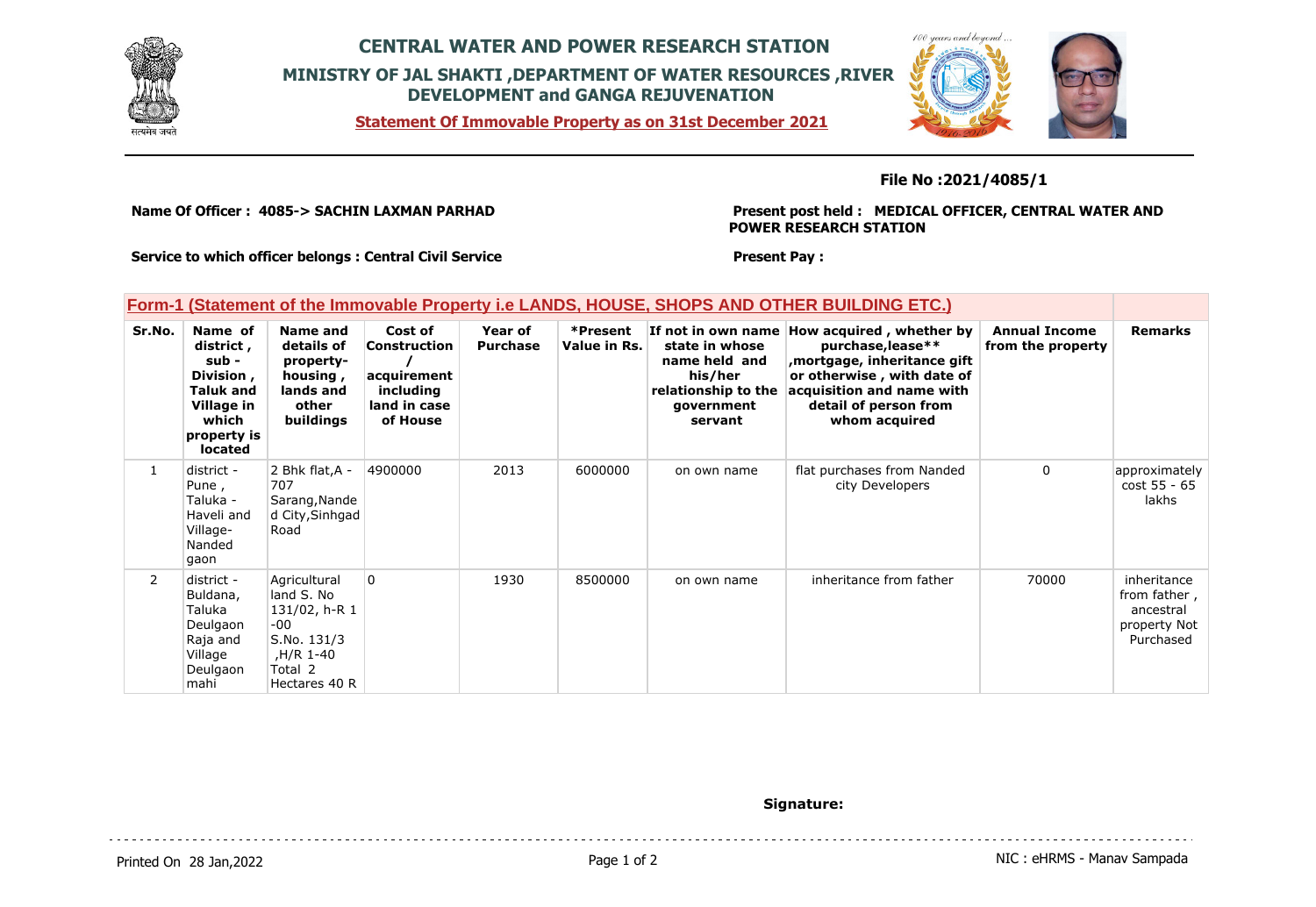

## **CENTRAL WATER AND POWER RESEARCH STATION MINISTRY OF JAL SHAKTI ,DEPARTMENT OF WATER RESOURCES ,RIVER DEVELOPMENT and GANGA REJUVENATION**

**Statement Of Immovable Property as on 31st December 2021**



### **File No :2021/4085/1**

**Name Of Officer : 4085-> SACHIN LAXMAN PARHAD** 

**Present post held : MEDICAL OFFICER, CENTRAL WATER AND POWER RESEARCH STATION**

**Service to which officer belongs : Central Civil Service**

#### **Present Pay :**

### **Form-1 (Statement of the Immovable Property i.e LANDS, HOUSE, SHOPS AND OTHER BUILDING ETC.)**

| Sr.No.       | Name of<br>district,<br>sub -<br>Division,<br>Taluk and<br>Village in<br>which<br>property is<br><b>located</b> | Name and<br>details of<br>property-<br>housing,<br>lands and<br>other<br>buildings                        | Cost of<br>Construction<br>acquirement<br>including<br>land in case<br>of House | Year of<br><b>Purchase</b> | *Present<br>Value in Rs. | If not in own name<br>state in whose<br>name held and<br>his/her<br>relationship to the<br>government<br>servant | How acquired, whether by<br>purchase, lease**<br>, mortgage, inheritance gift<br>or otherwise, with date of<br>acquisition and name with<br>detail of person from<br>whom acquired | <b>Annual Income</b><br>from the property | <b>Remarks</b>                                                        |
|--------------|-----------------------------------------------------------------------------------------------------------------|-----------------------------------------------------------------------------------------------------------|---------------------------------------------------------------------------------|----------------------------|--------------------------|------------------------------------------------------------------------------------------------------------------|------------------------------------------------------------------------------------------------------------------------------------------------------------------------------------|-------------------------------------------|-----------------------------------------------------------------------|
| $\mathbf{1}$ | district -<br>Pune,<br>Taluka -<br>Haveli and<br>Village-<br>Nanded<br>gaon                                     | 2 Bhk flat, A -<br>707<br>Sarang, Nande<br>d City, Sinhgad<br>Road                                        | 4900000                                                                         | 2013                       | 6000000                  | on own name                                                                                                      | flat purchases from Nanded<br>city Developers                                                                                                                                      | $\mathbf{0}$                              | approximately<br>cost 55 - 65<br>lakhs                                |
| $\mathbf{2}$ | district -<br>Buldana,<br>Taluka<br>Deulgaon<br>Raja and<br>Village<br>Deulgaon<br>mahi                         | Agricultural<br>land S. No<br>131/02, h-R 1<br>-00<br>S.No. 131/3<br>H/R 1-40<br>Total 2<br>Hectares 40 R | <b>O</b>                                                                        | 1930                       | 8500000                  | on own name                                                                                                      | inheritance from father                                                                                                                                                            | 70000                                     | inheritance<br>from father,<br>ancestral<br>property Not<br>Purchased |

#### **Signature:**

Printed On 28 Jan, 2022 2001 12:00 Page 1 of 2 Page 1 of 2 NIC : eHRMS - Manav Sampada